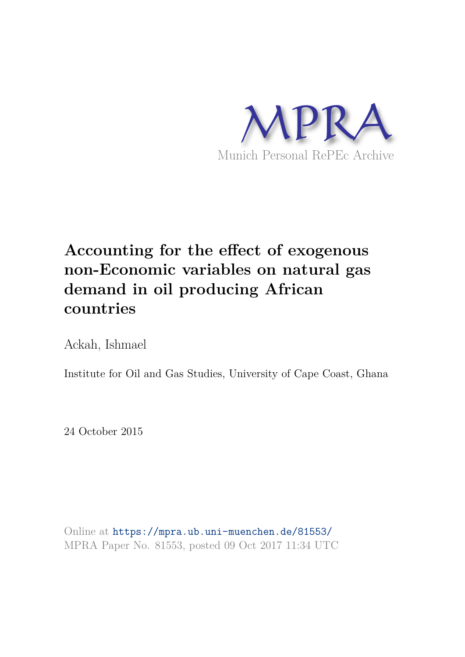

# **Accounting for the effect of exogenous non-Economic variables on natural gas demand in oil producing African countries**

Ackah, Ishmael

Institute for Oil and Gas Studies, University of Cape Coast, Ghana

24 October 2015

Online at https://mpra.ub.uni-muenchen.de/81553/ MPRA Paper No. 81553, posted 09 Oct 2017 11:34 UTC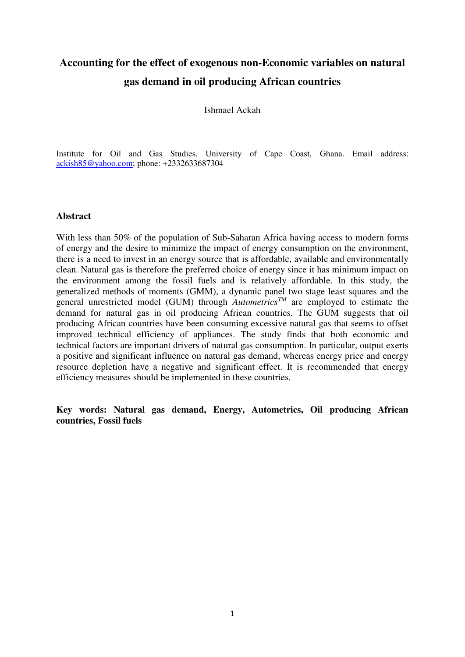## **Accounting for the effect of exogenous non-Economic variables on natural gas demand in oil producing African countries**

Ishmael Ackah

Institute for Oil and Gas Studies, University of Cape Coast, Ghana. Email address: [ackish85@yahoo.com;](mailto:ackish85@yahoo.com) phone: +2332633687304

#### **Abstract**

With less than 50% of the population of Sub-Saharan Africa having access to modern forms of energy and the desire to minimize the impact of energy consumption on the environment, there is a need to invest in an energy source that is affordable, available and environmentally clean. Natural gas is therefore the preferred choice of energy since it has minimum impact on the environment among the fossil fuels and is relatively affordable. In this study, the generalized methods of moments (GMM), a dynamic panel two stage least squares and the general unrestricted model (GUM) through  $\overrightarrow{Autometrics}^{TM}$  are employed to estimate the demand for natural gas in oil producing African countries. The GUM suggests that oil producing African countries have been consuming excessive natural gas that seems to offset improved technical efficiency of appliances. The study finds that both economic and technical factors are important drivers of natural gas consumption. In particular, output exerts a positive and significant influence on natural gas demand, whereas energy price and energy resource depletion have a negative and significant effect. It is recommended that energy efficiency measures should be implemented in these countries.

**Key words: Natural gas demand, Energy, Autometrics, Oil producing African countries, Fossil fuels**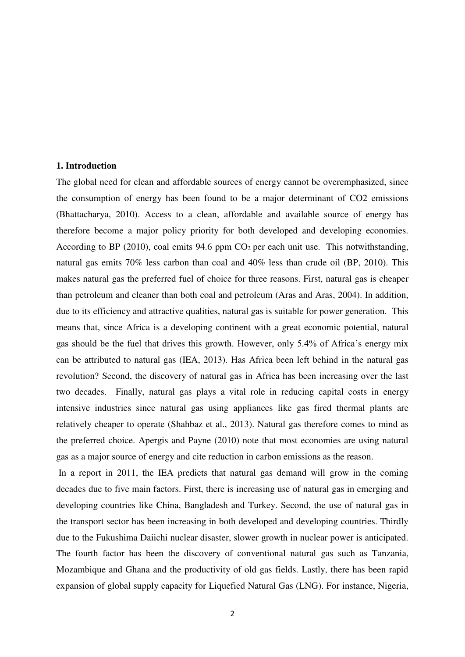#### **1. Introduction**

The global need for clean and affordable sources of energy cannot be overemphasized, since the consumption of energy has been found to be a major determinant of CO2 emissions (Bhattacharya, 2010). Access to a clean, affordable and available source of energy has therefore become a major policy priority for both developed and developing economies. According to BP (2010), coal emits 94.6 ppm  $CO<sub>2</sub>$  per each unit use. This notwithstanding, natural gas emits 70% less carbon than coal and 40% less than crude oil (BP, 2010). This makes natural gas the preferred fuel of choice for three reasons. First, natural gas is cheaper than petroleum and cleaner than both coal and petroleum (Aras and Aras, 2004). In addition, due to its efficiency and attractive qualities, natural gas is suitable for power generation. This means that, since Africa is a developing continent with a great economic potential, natural gas should be the fuel that drives this growth. However, only 5.4% of Africa's energy mix can be attributed to natural gas (IEA, 2013). Has Africa been left behind in the natural gas revolution? Second, the discovery of natural gas in Africa has been increasing over the last two decades. Finally, natural gas plays a vital role in reducing capital costs in energy intensive industries since natural gas using appliances like gas fired thermal plants are relatively cheaper to operate (Shahbaz et al., 2013). Natural gas therefore comes to mind as the preferred choice. Apergis and Payne (2010) note that most economies are using natural gas as a major source of energy and cite reduction in carbon emissions as the reason.

 In a report in 2011, the IEA predicts that natural gas demand will grow in the coming decades due to five main factors. First, there is increasing use of natural gas in emerging and developing countries like China, Bangladesh and Turkey. Second, the use of natural gas in the transport sector has been increasing in both developed and developing countries. Thirdly due to the Fukushima Daiichi nuclear disaster, slower growth in nuclear power is anticipated. The fourth factor has been the discovery of conventional natural gas such as Tanzania, Mozambique and Ghana and the productivity of old gas fields. Lastly, there has been rapid expansion of global supply capacity for Liquefied Natural Gas (LNG). For instance, Nigeria,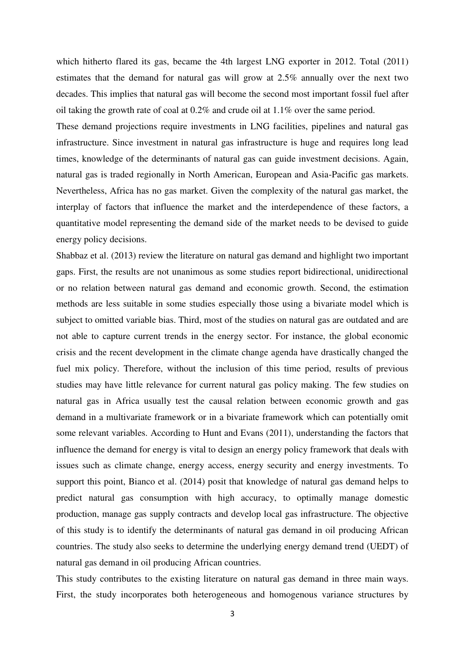which hitherto flared its gas, became the 4th largest LNG exporter in 2012. Total (2011) estimates that the demand for natural gas will grow at 2.5% annually over the next two decades. This implies that natural gas will become the second most important fossil fuel after oil taking the growth rate of coal at 0.2% and crude oil at 1.1% over the same period.

These demand projections require investments in LNG facilities, pipelines and natural gas infrastructure. Since investment in natural gas infrastructure is huge and requires long lead times, knowledge of the determinants of natural gas can guide investment decisions. Again, natural gas is traded regionally in North American, European and Asia-Pacific gas markets. Nevertheless, Africa has no gas market. Given the complexity of the natural gas market, the interplay of factors that influence the market and the interdependence of these factors, a quantitative model representing the demand side of the market needs to be devised to guide energy policy decisions.

Shabbaz et al. (2013) review the literature on natural gas demand and highlight two important gaps. First, the results are not unanimous as some studies report bidirectional, unidirectional or no relation between natural gas demand and economic growth. Second, the estimation methods are less suitable in some studies especially those using a bivariate model which is subject to omitted variable bias. Third, most of the studies on natural gas are outdated and are not able to capture current trends in the energy sector. For instance, the global economic crisis and the recent development in the climate change agenda have drastically changed the fuel mix policy. Therefore, without the inclusion of this time period, results of previous studies may have little relevance for current natural gas policy making. The few studies on natural gas in Africa usually test the causal relation between economic growth and gas demand in a multivariate framework or in a bivariate framework which can potentially omit some relevant variables. According to Hunt and Evans (2011), understanding the factors that influence the demand for energy is vital to design an energy policy framework that deals with issues such as climate change, energy access, energy security and energy investments. To support this point, Bianco et al. (2014) posit that knowledge of natural gas demand helps to predict natural gas consumption with high accuracy, to optimally manage domestic production, manage gas supply contracts and develop local gas infrastructure. The objective of this study is to identify the determinants of natural gas demand in oil producing African countries. The study also seeks to determine the underlying energy demand trend (UEDT) of natural gas demand in oil producing African countries.

This study contributes to the existing literature on natural gas demand in three main ways. First, the study incorporates both heterogeneous and homogenous variance structures by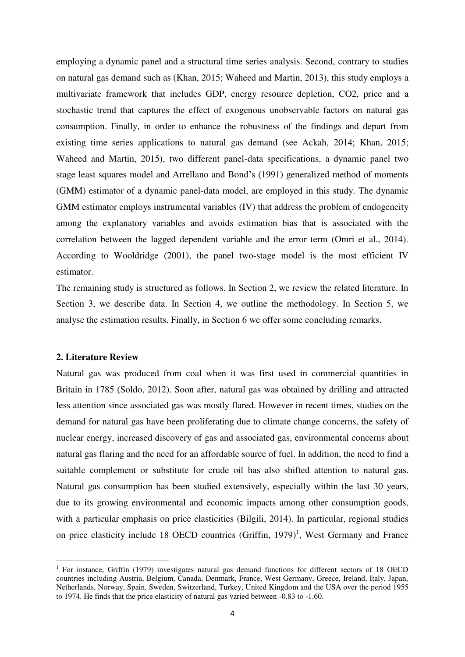employing a dynamic panel and a structural time series analysis. Second, contrary to studies on natural gas demand such as (Khan, 2015; Waheed and Martin, 2013), this study employs a multivariate framework that includes GDP, energy resource depletion, CO2, price and a stochastic trend that captures the effect of exogenous unobservable factors on natural gas consumption. Finally, in order to enhance the robustness of the findings and depart from existing time series applications to natural gas demand (see Ackah, 2014; Khan, 2015; Waheed and Martin, 2015), two different panel-data specifications, a dynamic panel two stage least squares model and Arrellano and Bond's (1991) generalized method of moments (GMM) estimator of a dynamic panel-data model, are employed in this study. The dynamic GMM estimator employs instrumental variables (IV) that address the problem of endogeneity among the explanatory variables and avoids estimation bias that is associated with the correlation between the lagged dependent variable and the error term (Omri et al., 2014). According to Wooldridge (2001), the panel two-stage model is the most efficient IV estimator.

The remaining study is structured as follows. In Section 2, we review the related literature. In Section 3, we describe data. In Section 4, we outline the methodology. In Section 5, we analyse the estimation results. Finally, in Section 6 we offer some concluding remarks.

#### **2. Literature Review**

-

Natural gas was produced from coal when it was first used in commercial quantities in Britain in 1785 (Soldo, 2012). Soon after, natural gas was obtained by drilling and attracted less attention since associated gas was mostly flared. However in recent times, studies on the demand for natural gas have been proliferating due to climate change concerns, the safety of nuclear energy, increased discovery of gas and associated gas, environmental concerns about natural gas flaring and the need for an affordable source of fuel. In addition, the need to find a suitable complement or substitute for crude oil has also shifted attention to natural gas. Natural gas consumption has been studied extensively, especially within the last 30 years, due to its growing environmental and economic impacts among other consumption goods, with a particular emphasis on price elasticities (Bilgili, 2014). In particular, regional studies on price elasticity include 18 OECD countries (Griffin,  $1979$ )<sup>1</sup>, West Germany and France

<sup>&</sup>lt;sup>1</sup> For instance, Griffin (1979) investigates natural gas demand functions for different sectors of 18 OECD countries including Austria, Belgium, Canada, Denmark, France, West Germany, Greece, Ireland, Italy, Japan, Netherlands, Norway, Spain, Sweden, Switzerland, Turkey, United Kingdom and the USA over the period 1955 to 1974. He finds that the price elasticity of natural gas varied between -0.83 to -1.60.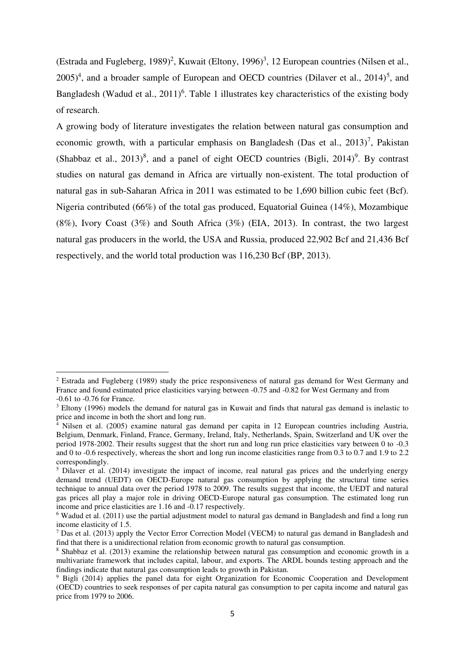(Estrada and Fugleberg, 1989)<sup>2</sup>, Kuwait (Eltony, 1996)<sup>3</sup>, 12 European countries (Nilsen et al.,  $2005$ <sup>4</sup>, and a broader sample of European and OECD countries (Dilaver et al.,  $2014$ <sup>5</sup>, and Bangladesh (Wadud et al.,  $2011$ <sup>6</sup>. Table 1 illustrates key characteristics of the existing body of research.

A growing body of literature investigates the relation between natural gas consumption and economic growth, with a particular emphasis on Bangladesh (Das et al.,  $2013$ )<sup>7</sup>, Pakistan (Shabbaz et al.,  $2013)^8$ , and a panel of eight OECD countries (Bigli,  $2014)^9$ . By contrast studies on natural gas demand in Africa are virtually non-existent. The total production of natural gas in sub-Saharan Africa in 2011 was estimated to be 1,690 billion cubic feet (Bcf). Nigeria contributed (66%) of the total gas produced, Equatorial Guinea (14%), Mozambique (8%), Ivory Coast (3%) and South Africa (3%) (EIA, 2013). In contrast, the two largest natural gas producers in the world, the USA and Russia, produced 22,902 Bcf and 21,436 Bcf respectively, and the world total production was 116,230 Bcf (BP, 2013).

<u>.</u>

<sup>&</sup>lt;sup>2</sup> Estrada and Fugleberg (1989) study the price responsiveness of natural gas demand for West Germany and France and found estimated price elasticities varying between -0.75 and -0.82 for West Germany and from -0.61 to -0.76 for France.

<sup>&</sup>lt;sup>3</sup> Eltony (1996) models the demand for natural gas in Kuwait and finds that natural gas demand is inelastic to

price and income in both the short and long run.<br><sup>4</sup> Nilsen et al. (2005) examine natural gas demand per capita in 12 European countries including Austria, Belgium, Denmark, Finland, France, Germany, Ireland, Italy, Netherlands, Spain, Switzerland and UK over the period 1978-2002. Their results suggest that the short run and long run price elasticities vary between 0 to -0.3 and 0 to -0.6 respectively, whereas the short and long run income elasticities range from 0.3 to 0.7 and 1.9 to 2.2 correspondingly.

<sup>&</sup>lt;sup>5</sup> Dilaver et al. (2014) investigate the impact of income, real natural gas prices and the underlying energy demand trend (UEDT) on OECD-Europe natural gas consumption by applying the structural time series technique to annual data over the period 1978 to 2009. The results suggest that income, the UEDT and natural gas prices all play a major role in driving OECD-Europe natural gas consumption. The estimated long run income and price elasticities are 1.16 and -0.17 respectively.

<sup>&</sup>lt;sup>6</sup> Wadud et al. (2011) use the partial adjustment model to natural gas demand in Bangladesh and find a long run income elasticity of 1.5.

 $<sup>7</sup>$  Das et al. (2013) apply the Vector Error Correction Model (VECM) to natural gas demand in Bangladesh and</sup> find that there is a unidirectional relation from economic growth to natural gas consumption.

<sup>&</sup>lt;sup>8</sup> Shabbaz et al. (2013) examine the relationship between natural gas consumption and economic growth in a multivariate framework that includes capital, labour, and exports. The ARDL bounds testing approach and the findings indicate that natural gas consumption leads to growth in Pakistan.

<sup>&</sup>lt;sup>9</sup> Bigli (2014) applies the panel data for eight Organization for Economic Cooperation and Development (OECD) countries to seek responses of per capita natural gas consumption to per capita income and natural gas price from 1979 to 2006.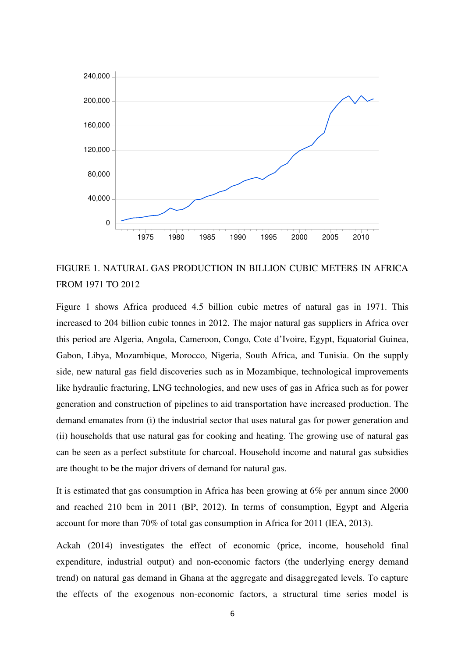

### FIGURE 1. NATURAL GAS PRODUCTION IN BILLION CUBIC METERS IN AFRICA FROM 1971 TO 2012

Figure 1 shows Africa produced 4.5 billion cubic metres of natural gas in 1971. This increased to 204 billion cubic tonnes in 2012. The major natural gas suppliers in Africa over this period are Algeria, Angola, Cameroon, Congo, Cote d'Ivoire, Egypt, Equatorial Guinea, Gabon, Libya, Mozambique, Morocco, Nigeria, South Africa, and Tunisia. On the supply side, new natural gas field discoveries such as in Mozambique, technological improvements like hydraulic fracturing, LNG technologies, and new uses of gas in Africa such as for power generation and construction of pipelines to aid transportation have increased production. The demand emanates from (i) the industrial sector that uses natural gas for power generation and (ii) households that use natural gas for cooking and heating. The growing use of natural gas can be seen as a perfect substitute for charcoal. Household income and natural gas subsidies are thought to be the major drivers of demand for natural gas.

It is estimated that gas consumption in Africa has been growing at 6% per annum since 2000 and reached 210 bcm in 2011 (BP, 2012). In terms of consumption, Egypt and Algeria account for more than 70% of total gas consumption in Africa for 2011 (IEA, 2013).

Ackah (2014) investigates the effect of economic (price, income, household final expenditure, industrial output) and non-economic factors (the underlying energy demand trend) on natural gas demand in Ghana at the aggregate and disaggregated levels. To capture the effects of the exogenous non-economic factors, a structural time series model is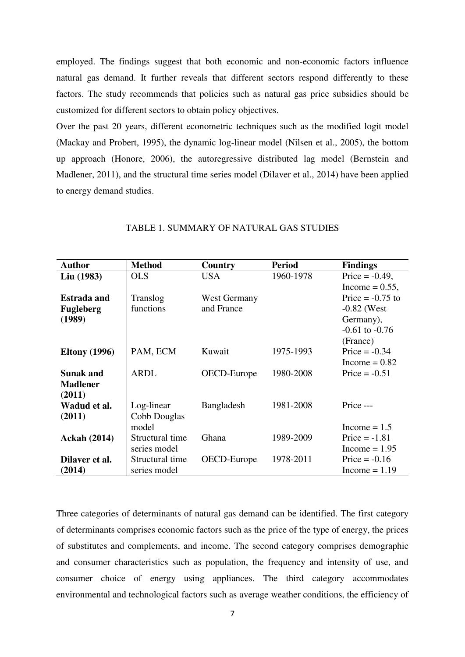employed. The findings suggest that both economic and non-economic factors influence natural gas demand. It further reveals that different sectors respond differently to these factors. The study recommends that policies such as natural gas price subsidies should be customized for different sectors to obtain policy objectives.

Over the past 20 years, different econometric techniques such as the modified logit model (Mackay and Probert, 1995), the dynamic log-linear model (Nilsen et al., 2005), the bottom up approach (Honore, 2006), the autoregressive distributed lag model (Bernstein and Madlener, 2011), and the structural time series model (Dilaver et al., 2014) have been applied to energy demand studies.

| <b>Author</b>        | <b>Method</b>   | Country      | <b>Period</b> | <b>Findings</b>    |
|----------------------|-----------------|--------------|---------------|--------------------|
| Liu (1983)           | <b>OLS</b>      | <b>USA</b>   | 1960-1978     | Price $= -0.49$ ,  |
|                      |                 |              |               | Income = $0.55$ ,  |
| <b>Estrada and</b>   | Translog        | West Germany |               | Price $= -0.75$ to |
| <b>Fugleberg</b>     | functions       | and France   |               | $-0.82$ (West      |
| (1989)               |                 |              |               | Germany),          |
|                      |                 |              |               | $-0.61$ to $-0.76$ |
|                      |                 |              |               | (France)           |
| <b>Eltony</b> (1996) | PAM, ECM        | Kuwait       | 1975-1993     | Price $= -0.34$    |
|                      |                 |              |               | Income = $0.82$    |
| <b>Sunak and</b>     | <b>ARDL</b>     | OECD-Europe  | 1980-2008     | Price $= -0.51$    |
| <b>Madlener</b>      |                 |              |               |                    |
| (2011)               |                 |              |               |                    |
| Wadud et al.         | Log-linear      | Bangladesh   | 1981-2008     | Price ---          |
| (2011)               | Cobb Douglas    |              |               |                    |
|                      | model           |              |               | Income $= 1.5$     |
| <b>Ackah (2014)</b>  | Structural time | Ghana        | 1989-2009     | Price $= -1.81$    |
|                      | series model    |              |               | Income $= 1.95$    |
| Dilaver et al.       | Structural time | OECD-Europe  | 1978-2011     | Price $= -0.16$    |
| (2014)               | series model    |              |               | Income $= 1.19$    |

#### TABLE 1. SUMMARY OF NATURAL GAS STUDIES

Three categories of determinants of natural gas demand can be identified. The first category of determinants comprises economic factors such as the price of the type of energy, the prices of substitutes and complements, and income. The second category comprises demographic and consumer characteristics such as population, the frequency and intensity of use, and consumer choice of energy using appliances. The third category accommodates environmental and technological factors such as average weather conditions, the efficiency of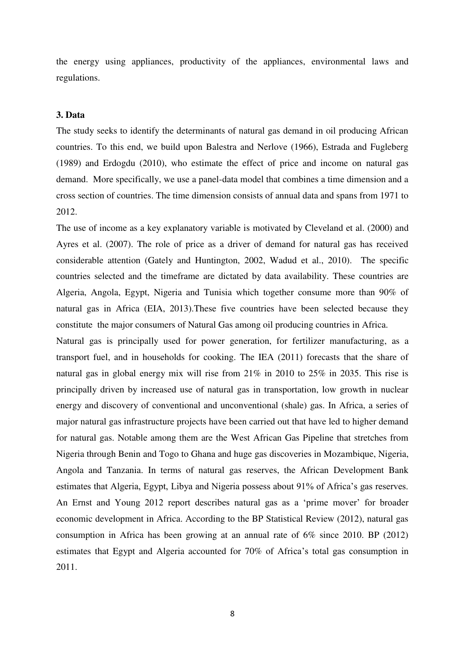the energy using appliances, productivity of the appliances, environmental laws and regulations.

#### **3. Data**

The study seeks to identify the determinants of natural gas demand in oil producing African countries. To this end, we build upon Balestra and Nerlove (1966), Estrada and Fugleberg (1989) and Erdogdu (2010), who estimate the effect of price and income on natural gas demand. More specifically, we use a panel-data model that combines a time dimension and a cross section of countries. The time dimension consists of annual data and spans from 1971 to 2012.

The use of income as a key explanatory variable is motivated by Cleveland et al. (2000) and Ayres et al. (2007). The role of price as a driver of demand for natural gas has received considerable attention (Gately and Huntington, 2002, Wadud et al., 2010). The specific countries selected and the timeframe are dictated by data availability. These countries are Algeria, Angola, Egypt, Nigeria and Tunisia which together consume more than 90% of natural gas in Africa (EIA, 2013).These five countries have been selected because they constitute the major consumers of Natural Gas among oil producing countries in Africa.

Natural gas is principally used for power generation, for fertilizer manufacturing, as a transport fuel, and in households for cooking. The IEA (2011) forecasts that the share of natural gas in global energy mix will rise from 21% in 2010 to 25% in 2035. This rise is principally driven by increased use of natural gas in transportation, low growth in nuclear energy and discovery of conventional and unconventional (shale) gas. In Africa, a series of major natural gas infrastructure projects have been carried out that have led to higher demand for natural gas. Notable among them are the West African Gas Pipeline that stretches from Nigeria through Benin and Togo to Ghana and huge gas discoveries in Mozambique, Nigeria, Angola and Tanzania. In terms of natural gas reserves, the African Development Bank estimates that Algeria, Egypt, Libya and Nigeria possess about 91% of Africa's gas reserves. An Ernst and Young 2012 report describes natural gas as a 'prime mover' for broader economic development in Africa. According to the BP Statistical Review (2012), natural gas consumption in Africa has been growing at an annual rate of 6% since 2010. BP (2012) estimates that Egypt and Algeria accounted for 70% of Africa's total gas consumption in 2011.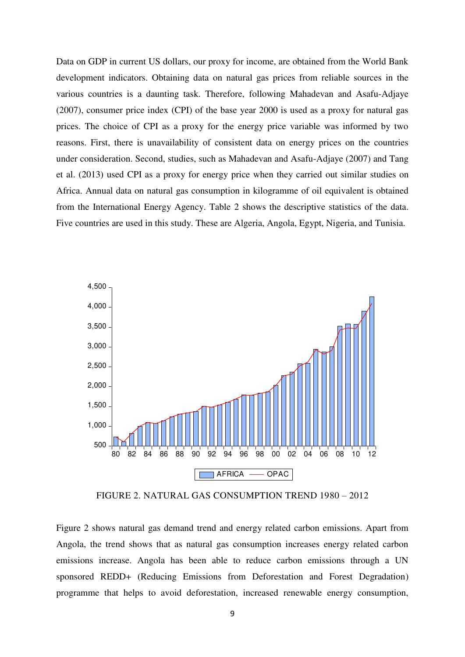Data on GDP in current US dollars, our proxy for income, are obtained from the World Bank development indicators. Obtaining data on natural gas prices from reliable sources in the various countries is a daunting task. Therefore, following Mahadevan and Asafu-Adjaye (2007), consumer price index (CPI) of the base year 2000 is used as a proxy for natural gas prices. The choice of CPI as a proxy for the energy price variable was informed by two reasons. First, there is unavailability of consistent data on energy prices on the countries under consideration. Second, studies, such as Mahadevan and Asafu-Adjaye (2007) and Tang et al. (2013) used CPI as a proxy for energy price when they carried out similar studies on Africa. Annual data on natural gas consumption in kilogramme of oil equivalent is obtained from the International Energy Agency. Table 2 shows the descriptive statistics of the data. Five countries are used in this study. These are Algeria, Angola, Egypt, Nigeria, and Tunisia.



FIGURE 2. NATURAL GAS CONSUMPTION TREND 1980 – 2012

Figure 2 shows natural gas demand trend and energy related carbon emissions. Apart from Angola, the trend shows that as natural gas consumption increases energy related carbon emissions increase. Angola has been able to reduce carbon emissions through a UN sponsored REDD+ (Reducing Emissions from Deforestation and Forest Degradation) programme that helps to avoid deforestation, increased renewable energy consumption,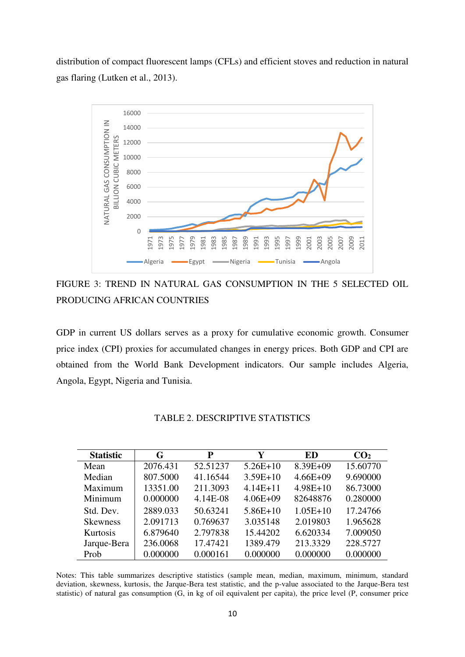distribution of compact fluorescent lamps (CFLs) and efficient stoves and reduction in natural gas flaring (Lutken et al., 2013).



FIGURE 3: TREND IN NATURAL GAS CONSUMPTION IN THE 5 SELECTED OIL PRODUCING AFRICAN COUNTRIES

GDP in current US dollars serves as a proxy for cumulative economic growth. Consumer price index (CPI) proxies for accumulated changes in energy prices. Both GDP and CPI are obtained from the World Bank Development indicators. Our sample includes Algeria, Angola, Egypt, Nigeria and Tunisia.

| <b>Statistic</b> | G        | P        | Y            | ED           | CO <sub>2</sub> |
|------------------|----------|----------|--------------|--------------|-----------------|
| Mean             | 2076.431 | 52.51237 | $5.26E+10$   | $8.39E + 09$ | 15.60770        |
| Median           | 807.5000 | 41.16544 | $3.59E+10$   | $4.66E + 09$ | 9.690000        |
| Maximum          | 13351.00 | 211.3093 | $4.14E + 11$ | $4.98E+10$   | 86.73000        |
| Minimum          | 0.000000 | 4.14E-08 | $4.06E + 09$ | 82648876     | 0.280000        |
| Std. Dev.        | 2889.033 | 50.63241 | $5.86E+10$   | $1.05E+10$   | 17.24766        |
| <b>Skewness</b>  | 2.091713 | 0.769637 | 3.035148     | 2.019803     | 1.965628        |
| <b>Kurtosis</b>  | 6.879640 | 2.797838 | 15.44202     | 6.620334     | 7.009050        |
| Jarque-Bera      | 236.0068 | 17.47421 | 1389.479     | 213.3329     | 228.5727        |
| Prob             | 0.000000 | 0.000161 | 0.000000     | 0.000000     | 0.000000        |

#### TABLE 2. DESCRIPTIVE STATISTICS

Notes: This table summarizes descriptive statistics (sample mean, median, maximum, minimum, standard deviation, skewness, kurtosis, the Jarque-Bera test statistic, and the p-value associated to the Jarque-Bera test statistic) of natural gas consumption (G, in kg of oil equivalent per capita), the price level (P, consumer price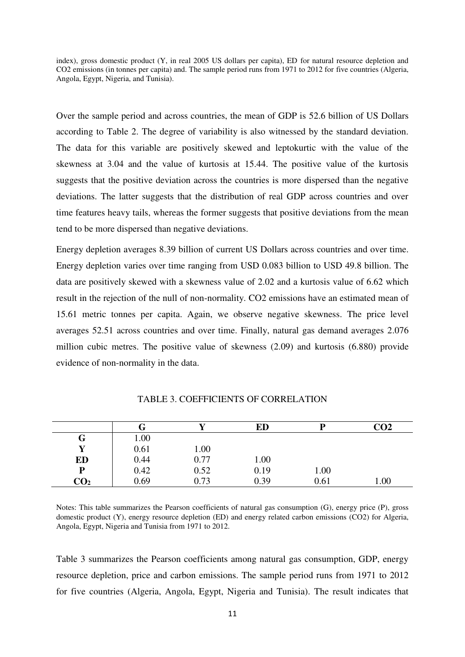index), gross domestic product (Y, in real 2005 US dollars per capita), ED for natural resource depletion and CO2 emissions (in tonnes per capita) and. The sample period runs from 1971 to 2012 for five countries (Algeria, Angola, Egypt, Nigeria, and Tunisia).

Over the sample period and across countries, the mean of GDP is 52.6 billion of US Dollars according to Table 2. The degree of variability is also witnessed by the standard deviation. The data for this variable are positively skewed and leptokurtic with the value of the skewness at 3.04 and the value of kurtosis at 15.44. The positive value of the kurtosis suggests that the positive deviation across the countries is more dispersed than the negative deviations. The latter suggests that the distribution of real GDP across countries and over time features heavy tails, whereas the former suggests that positive deviations from the mean tend to be more dispersed than negative deviations.

Energy depletion averages 8.39 billion of current US Dollars across countries and over time. Energy depletion varies over time ranging from USD 0.083 billion to USD 49.8 billion. The data are positively skewed with a skewness value of 2.02 and a kurtosis value of 6.62 which result in the rejection of the null of non-normality. CO2 emissions have an estimated mean of 15.61 metric tonnes per capita. Again, we observe negative skewness. The price level averages 52.51 across countries and over time. Finally, natural gas demand averages 2.076 million cubic metres. The positive value of skewness (2.09) and kurtosis (6.880) provide evidence of non-normality in the data.

|                 | Œ    |      | ED   |      | CO2  |
|-----------------|------|------|------|------|------|
| G               | 00.1 |      |      |      |      |
| v               | 0.61 | 1.00 |      |      |      |
| ED              | 0.44 | 0.77 | 1.00 |      |      |
| P               | 0.42 | 0.52 | 0.19 | 1.00 |      |
| CO <sub>2</sub> | 0.69 | 0.73 | 0.39 | 0.61 | 1.00 |

TABLE 3. COEFFICIENTS OF CORRELATION

Notes: This table summarizes the Pearson coefficients of natural gas consumption (G), energy price (P), gross domestic product (Y), energy resource depletion (ED) and energy related carbon emissions (CO2) for Algeria, Angola, Egypt, Nigeria and Tunisia from 1971 to 2012.

Table 3 summarizes the Pearson coefficients among natural gas consumption, GDP, energy resource depletion, price and carbon emissions. The sample period runs from 1971 to 2012 for five countries (Algeria, Angola, Egypt, Nigeria and Tunisia). The result indicates that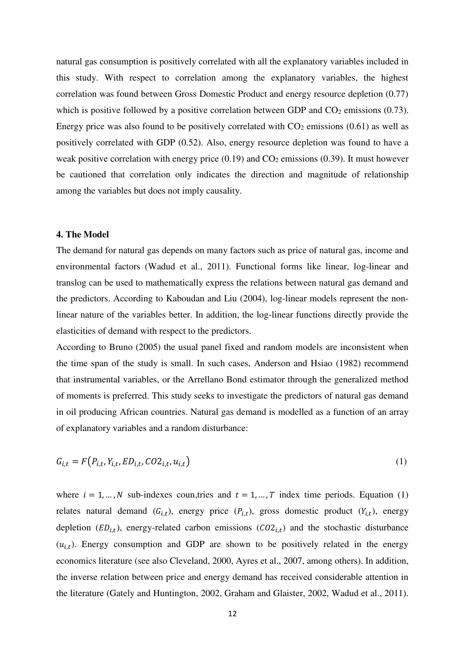natural gas consumption is positively correlated with all the explanatory variables included in this study. With respect to correlation among the explanatory variables, the highest correlation was found between Gross Domestic Product and energy resource depletion (0.77) which is positive followed by a positive correlation between GDP and  $CO<sub>2</sub>$  emissions (0.73). Energy price was also found to be positively correlated with  $CO<sub>2</sub>$  emissions (0.61) as well as positively correlated with GDP (0.52). Also, energy resource depletion was found to have a weak positive correlation with energy price  $(0.19)$  and  $CO<sub>2</sub>$  emissions  $(0.39)$ . It must however be cautioned that correlation only indicates the direction and magnitude of relationship among the variables but does not imply causality.

#### **4. The Model**

The demand for natural gas depends on many factors such as price of natural gas, income and environmental factors (Wadud et al., 2011). Functional forms like linear, log-linear and translog can be used to mathematically express the relations between natural gas demand and the predictors. According to Kaboudan and Liu (2004), log-linear models represent the nonlinear nature of the variables better. In addition, the log-linear functions directly provide the elasticities of demand with respect to the predictors.

According to Bruno (2005) the usual panel fixed and random models are inconsistent when the time span of the study is small. In such cases, Anderson and Hsiao (1982) recommend that instrumental variables, or the Arrellano Bond estimator through the generalized method of moments is preferred. This study seeks to investigate the predictors of natural gas demand in oil producing African countries. Natural gas demand is modelled as a function of an array of explanatory variables and a random disturbance:

$$
G_{i,t} = F\left(P_{i,t}, Y_{i,t}, ED_{i,t}, CO2_{i,t}, u_{i,t}\right) \tag{1}
$$

where  $i = 1, ..., N$  sub-indexes coun, tries and  $t = 1, ..., T$  index time periods. Equation (1) relates natural demand  $(G_{i,t})$ , energy price  $(P_{i,t})$ , gross domestic product  $(Y_{i,t})$ , energy depletion  $(ED_{i,t})$ , energy-related carbon emissions  $(CO_{i,t})$  and the stochastic disturbance  $(u_{i,t})$ . Energy consumption and GDP are shown to be positively related in the energy economics literature (see also Cleveland, 2000, Ayres et al., 2007, among others). In addition, the inverse relation between price and energy demand has received considerable attention in the literature (Gately and Huntington, 2002, Graham and Glaister, 2002, Wadud et al., 2011).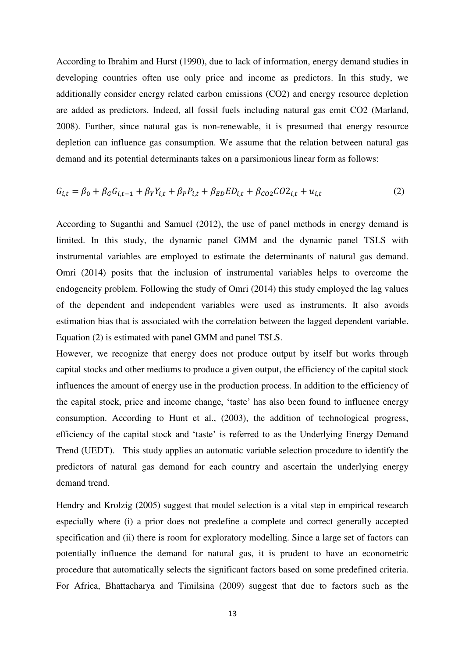According to Ibrahim and Hurst (1990), due to lack of information, energy demand studies in developing countries often use only price and income as predictors. In this study, we additionally consider energy related carbon emissions (CO2) and energy resource depletion are added as predictors. Indeed, all fossil fuels including natural gas emit CO2 (Marland, 2008). Further, since natural gas is non-renewable, it is presumed that energy resource depletion can influence gas consumption. We assume that the relation between natural gas demand and its potential determinants takes on a parsimonious linear form as follows:

$$
G_{i,t} = \beta_0 + \beta_G G_{i,t-1} + \beta_Y Y_{i,t} + \beta_P P_{i,t} + \beta_{ED} ED_{i,t} + \beta_{CO2} CO2_{i,t} + u_{i,t}
$$
 (2)

According to Suganthi and Samuel (2012), the use of panel methods in energy demand is limited. In this study, the dynamic panel GMM and the dynamic panel TSLS with instrumental variables are employed to estimate the determinants of natural gas demand. Omri (2014) posits that the inclusion of instrumental variables helps to overcome the endogeneity problem. Following the study of Omri (2014) this study employed the lag values of the dependent and independent variables were used as instruments. It also avoids estimation bias that is associated with the correlation between the lagged dependent variable. Equation (2) is estimated with panel GMM and panel TSLS.

However, we recognize that energy does not produce output by itself but works through capital stocks and other mediums to produce a given output, the efficiency of the capital stock influences the amount of energy use in the production process. In addition to the efficiency of the capital stock, price and income change, 'taste' has also been found to influence energy consumption. According to Hunt et al., (2003), the addition of technological progress, efficiency of the capital stock and 'taste' is referred to as the Underlying Energy Demand Trend (UEDT). This study applies an automatic variable selection procedure to identify the predictors of natural gas demand for each country and ascertain the underlying energy demand trend.

Hendry and Krolzig (2005) suggest that model selection is a vital step in empirical research especially where (i) a prior does not predefine a complete and correct generally accepted specification and (ii) there is room for exploratory modelling. Since a large set of factors can potentially influence the demand for natural gas, it is prudent to have an econometric procedure that automatically selects the significant factors based on some predefined criteria. For Africa, Bhattacharya and Timilsina (2009) suggest that due to factors such as the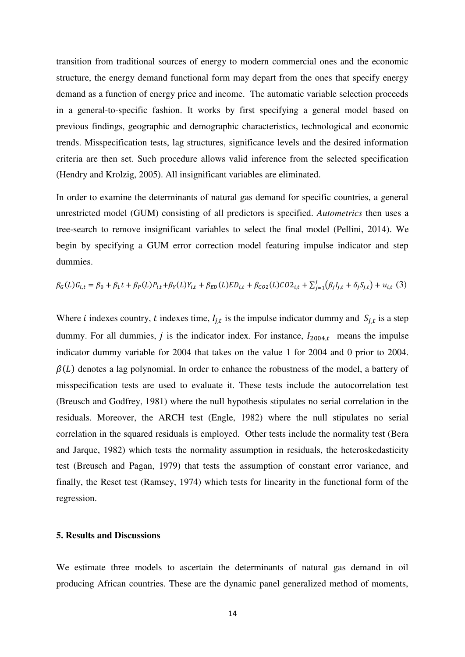transition from traditional sources of energy to modern commercial ones and the economic structure, the energy demand functional form may depart from the ones that specify energy demand as a function of energy price and income. The automatic variable selection proceeds in a general-to-specific fashion. It works by first specifying a general model based on previous findings, geographic and demographic characteristics, technological and economic trends. Misspecification tests, lag structures, significance levels and the desired information criteria are then set. Such procedure allows valid inference from the selected specification (Hendry and Krolzig, 2005). All insignificant variables are eliminated.

In order to examine the determinants of natural gas demand for specific countries, a general unrestricted model (GUM) consisting of all predictors is specified. *Autometrics* then uses a tree-search to remove insignificant variables to select the final model (Pellini, 2014). We begin by specifying a GUM error correction model featuring impulse indicator and step dummies.

$$
\beta_G(L)G_{i,t} = \beta_0 + \beta_1 t + \beta_P(L)P_{i,t} + \beta_Y(L)Y_{i,t} + \beta_{ED}(L)ED_{i,t} + \beta_{CO2}(L)CO2_{i,t} + \sum_{j=1}^J (\beta_j I_{j,t} + \delta_j S_{j,t}) + u_{i,t}
$$
 (3)

Where *i* indexes country, *t* indexes time,  $I_{j,t}$  is the impulse indicator dummy and  $S_{j,t}$  is a step dummy. For all dummies,  $j$  is the indicator index. For instance,  $I_{2004,t}$  means the impulse indicator dummy variable for 2004 that takes on the value 1 for 2004 and 0 prior to 2004.  $\beta(L)$  denotes a lag polynomial. In order to enhance the robustness of the model, a battery of misspecification tests are used to evaluate it. These tests include the autocorrelation test (Breusch and Godfrey, 1981) where the null hypothesis stipulates no serial correlation in the residuals. Moreover, the ARCH test (Engle, 1982) where the null stipulates no serial correlation in the squared residuals is employed. Other tests include the normality test (Bera and Jarque, 1982) which tests the normality assumption in residuals, the heteroskedasticity test (Breusch and Pagan, 1979) that tests the assumption of constant error variance, and finally, the Reset test (Ramsey, 1974) which tests for linearity in the functional form of the regression.

#### **5. Results and Discussions**

We estimate three models to ascertain the determinants of natural gas demand in oil producing African countries. These are the dynamic panel generalized method of moments,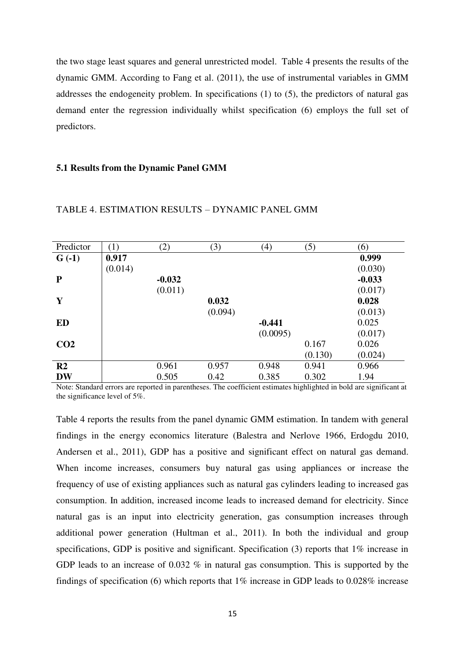the two stage least squares and general unrestricted model. Table 4 presents the results of the dynamic GMM. According to Fang et al. (2011), the use of instrumental variables in GMM addresses the endogeneity problem. In specifications (1) to (5), the predictors of natural gas demand enter the regression individually whilst specification (6) employs the full set of predictors.

#### **5.1 Results from the Dynamic Panel GMM**

| Predictor       | (1)     | (2)      | (3)     | (4)      | (5)     | (6)      |
|-----------------|---------|----------|---------|----------|---------|----------|
| $G(-1)$         | 0.917   |          |         |          |         | 0.999    |
|                 | (0.014) |          |         |          |         | (0.030)  |
| $\mathbf{P}$    |         | $-0.032$ |         |          |         | $-0.033$ |
|                 |         | (0.011)  |         |          |         | (0.017)  |
| Y               |         |          | 0.032   |          |         | 0.028    |
|                 |         |          | (0.094) |          |         | (0.013)  |
| ED              |         |          |         | $-0.441$ |         | 0.025    |
|                 |         |          |         | (0.0095) |         | (0.017)  |
| CO <sub>2</sub> |         |          |         |          | 0.167   | 0.026    |
|                 |         |          |         |          | (0.130) | (0.024)  |
| R <sub>2</sub>  |         | 0.961    | 0.957   | 0.948    | 0.941   | 0.966    |
| <b>DW</b>       |         | 0.505    | 0.42    | 0.385    | 0.302   | 1.94     |

#### TABLE 4. ESTIMATION RESULTS – DYNAMIC PANEL GMM

Note: Standard errors are reported in parentheses. The coefficient estimates highlighted in bold are significant at the significance level of 5%.

Table 4 reports the results from the panel dynamic GMM estimation. In tandem with general findings in the energy economics literature (Balestra and Nerlove 1966, Erdogdu 2010, Andersen et al., 2011), GDP has a positive and significant effect on natural gas demand. When income increases, consumers buy natural gas using appliances or increase the frequency of use of existing appliances such as natural gas cylinders leading to increased gas consumption. In addition, increased income leads to increased demand for electricity. Since natural gas is an input into electricity generation, gas consumption increases through additional power generation (Hultman et al., 2011). In both the individual and group specifications, GDP is positive and significant. Specification (3) reports that 1% increase in GDP leads to an increase of 0.032 % in natural gas consumption. This is supported by the findings of specification (6) which reports that 1% increase in GDP leads to 0.028% increase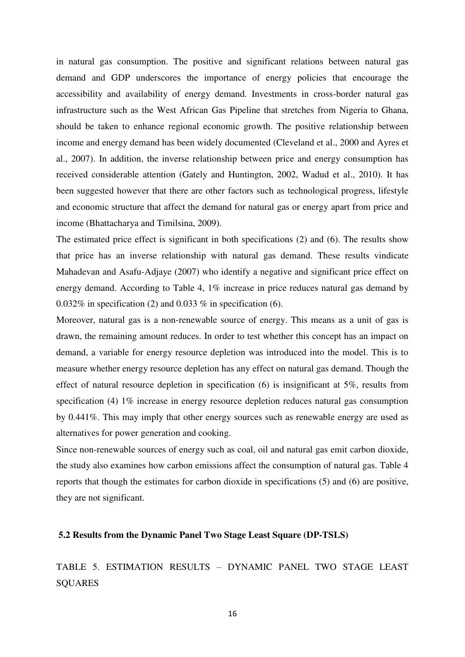in natural gas consumption. The positive and significant relations between natural gas demand and GDP underscores the importance of energy policies that encourage the accessibility and availability of energy demand. Investments in cross-border natural gas infrastructure such as the West African Gas Pipeline that stretches from Nigeria to Ghana, should be taken to enhance regional economic growth. The positive relationship between income and energy demand has been widely documented (Cleveland et al., 2000 and Ayres et al., 2007). In addition, the inverse relationship between price and energy consumption has received considerable attention (Gately and Huntington, 2002, Wadud et al., 2010). It has been suggested however that there are other factors such as technological progress, lifestyle and economic structure that affect the demand for natural gas or energy apart from price and income (Bhattacharya and Timilsina, 2009).

The estimated price effect is significant in both specifications (2) and (6). The results show that price has an inverse relationship with natural gas demand. These results vindicate Mahadevan and Asafu-Adjaye (2007) who identify a negative and significant price effect on energy demand. According to Table 4, 1% increase in price reduces natural gas demand by  $0.032\%$  in specification (2) and 0.033 % in specification (6).

Moreover, natural gas is a non-renewable source of energy. This means as a unit of gas is drawn, the remaining amount reduces. In order to test whether this concept has an impact on demand, a variable for energy resource depletion was introduced into the model. This is to measure whether energy resource depletion has any effect on natural gas demand. Though the effect of natural resource depletion in specification (6) is insignificant at 5%, results from specification (4) 1% increase in energy resource depletion reduces natural gas consumption by 0.441%. This may imply that other energy sources such as renewable energy are used as alternatives for power generation and cooking.

Since non-renewable sources of energy such as coal, oil and natural gas emit carbon dioxide, the study also examines how carbon emissions affect the consumption of natural gas. Table 4 reports that though the estimates for carbon dioxide in specifications (5) and (6) are positive, they are not significant.

#### **5.2 Results from the Dynamic Panel Two Stage Least Square (DP-TSLS)**

TABLE 5. ESTIMATION RESULTS – DYNAMIC PANEL TWO STAGE LEAST **SQUARES**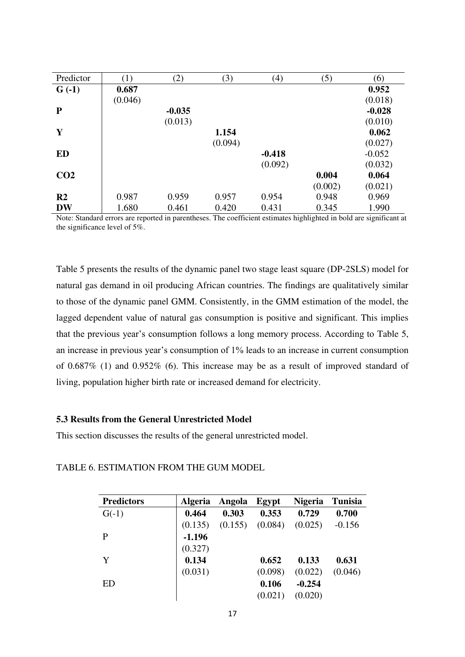| Predictor       | (1)     | (2)      | (3)     | (4)      | (5)     | (6)      |
|-----------------|---------|----------|---------|----------|---------|----------|
| $G(-1)$         | 0.687   |          |         |          |         | 0.952    |
|                 | (0.046) |          |         |          |         | (0.018)  |
| $\mathbf{P}$    |         | $-0.035$ |         |          |         | $-0.028$ |
|                 |         | (0.013)  |         |          |         | (0.010)  |
| Y               |         |          | 1.154   |          |         | 0.062    |
|                 |         |          | (0.094) |          |         | (0.027)  |
| <b>ED</b>       |         |          |         | $-0.418$ |         | $-0.052$ |
|                 |         |          |         | (0.092)  |         | (0.032)  |
| CO <sub>2</sub> |         |          |         |          | 0.004   | 0.064    |
|                 |         |          |         |          | (0.002) | (0.021)  |
| R <sub>2</sub>  | 0.987   | 0.959    | 0.957   | 0.954    | 0.948   | 0.969    |
| <b>DW</b>       | 1.680   | 0.461    | 0.420   | 0.431    | 0.345   | 1.990    |

Note: Standard errors are reported in parentheses. The coefficient estimates highlighted in bold are significant at the significance level of 5%.

Table 5 presents the results of the dynamic panel two stage least square (DP-2SLS) model for natural gas demand in oil producing African countries. The findings are qualitatively similar to those of the dynamic panel GMM. Consistently, in the GMM estimation of the model, the lagged dependent value of natural gas consumption is positive and significant. This implies that the previous year's consumption follows a long memory process. According to Table 5, an increase in previous year's consumption of 1% leads to an increase in current consumption of 0.687% (1) and 0.952% (6). This increase may be as a result of improved standard of living, population higher birth rate or increased demand for electricity.

#### **5.3 Results from the General Unrestricted Model**

This section discusses the results of the general unrestricted model.

| <b>Predictors</b> | <b>Algeria</b> | Angola  | Egypt   | <b>Nigeria</b> | <b>Tunisia</b> |
|-------------------|----------------|---------|---------|----------------|----------------|
| $G(-1)$           | 0.464          | 0.303   | 0.353   | 0.729          | 0.700          |
|                   | (0.135)        | (0.155) | (0.084) | (0.025)        | $-0.156$       |
| P                 | $-1.196$       |         |         |                |                |
|                   | (0.327)        |         |         |                |                |
| Y                 | 0.134          |         | 0.652   | 0.133          | 0.631          |
|                   | (0.031)        |         | (0.098) | (0.022)        | (0.046)        |
| <b>ED</b>         |                |         | 0.106   | $-0.254$       |                |
|                   |                |         | (0.021) | (0.020)        |                |

TABLE 6. ESTIMATION FROM THE GUM MODEL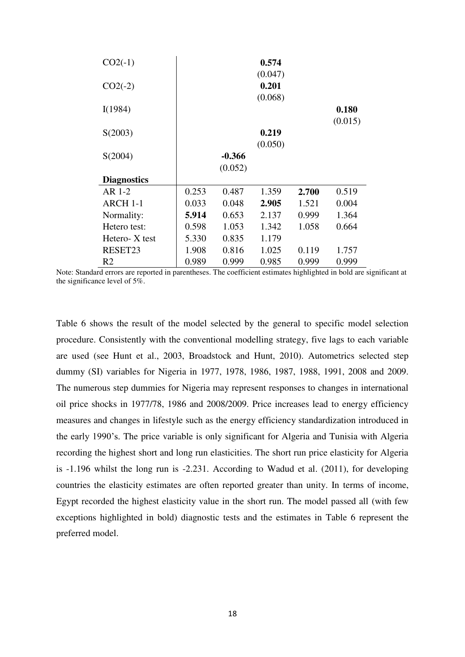| $CO2(-1)$          |       |          | 0.574   |       |         |
|--------------------|-------|----------|---------|-------|---------|
|                    |       |          | (0.047) |       |         |
| $CO2(-2)$          |       |          | 0.201   |       |         |
|                    |       |          | (0.068) |       |         |
| I(1984)            |       |          |         |       | 0.180   |
|                    |       |          |         |       | (0.015) |
| S(2003)            |       |          | 0.219   |       |         |
|                    |       |          | (0.050) |       |         |
| S(2004)            |       | $-0.366$ |         |       |         |
|                    |       | (0.052)  |         |       |         |
| <b>Diagnostics</b> |       |          |         |       |         |
| AR 1-2             | 0.253 | 0.487    | 1.359   | 2.700 | 0.519   |
| ARCH 1-1           | 0.033 | 0.048    | 2.905   | 1.521 | 0.004   |
| Normality:         | 5.914 | 0.653    | 2.137   | 0.999 | 1.364   |
| Hetero test:       | 0.598 | 1.053    | 1.342   | 1.058 | 0.664   |
| Hetero-X test      | 5.330 | 0.835    | 1.179   |       |         |
| RESET23            | 1.908 | 0.816    | 1.025   | 0.119 | 1.757   |
| R <sub>2</sub>     | 0.989 | 0.999    | 0.985   | 0.999 | 0.999   |

Note: Standard errors are reported in parentheses. The coefficient estimates highlighted in bold are significant at the significance level of 5%.

Table 6 shows the result of the model selected by the general to specific model selection procedure. Consistently with the conventional modelling strategy, five lags to each variable are used (see Hunt et al., 2003, Broadstock and Hunt, 2010). Autometrics selected step dummy (SI) variables for Nigeria in 1977, 1978, 1986, 1987, 1988, 1991, 2008 and 2009. The numerous step dummies for Nigeria may represent responses to changes in international oil price shocks in 1977/78, 1986 and 2008/2009. Price increases lead to energy efficiency measures and changes in lifestyle such as the energy efficiency standardization introduced in the early 1990's. The price variable is only significant for Algeria and Tunisia with Algeria recording the highest short and long run elasticities. The short run price elasticity for Algeria is -1.196 whilst the long run is -2.231. According to Wadud et al. (2011), for developing countries the elasticity estimates are often reported greater than unity. In terms of income, Egypt recorded the highest elasticity value in the short run. The model passed all (with few exceptions highlighted in bold) diagnostic tests and the estimates in Table 6 represent the preferred model.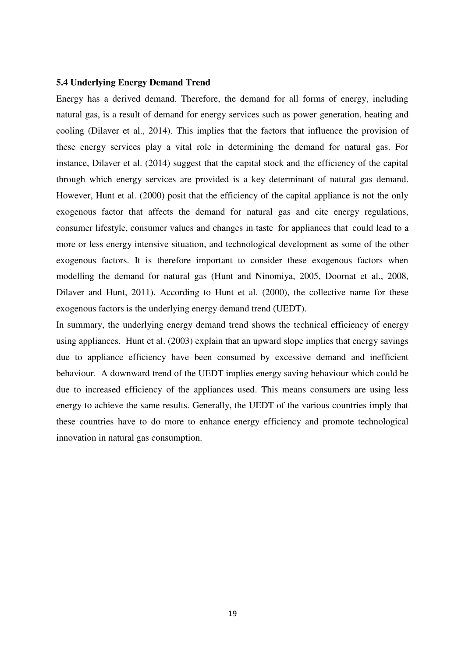#### **5.4 Underlying Energy Demand Trend**

Energy has a derived demand. Therefore, the demand for all forms of energy, including natural gas, is a result of demand for energy services such as power generation, heating and cooling (Dilaver et al., 2014). This implies that the factors that influence the provision of these energy services play a vital role in determining the demand for natural gas. For instance, Dilaver et al. (2014) suggest that the capital stock and the efficiency of the capital through which energy services are provided is a key determinant of natural gas demand. However, Hunt et al. (2000) posit that the efficiency of the capital appliance is not the only exogenous factor that affects the demand for natural gas and cite energy regulations, consumer lifestyle, consumer values and changes in taste for appliances that could lead to a more or less energy intensive situation, and technological development as some of the other exogenous factors. It is therefore important to consider these exogenous factors when modelling the demand for natural gas (Hunt and Ninomiya, 2005, Doornat et al., 2008, Dilaver and Hunt, 2011). According to Hunt et al. (2000), the collective name for these exogenous factors is the underlying energy demand trend (UEDT).

In summary, the underlying energy demand trend shows the technical efficiency of energy using appliances. Hunt et al. (2003) explain that an upward slope implies that energy savings due to appliance efficiency have been consumed by excessive demand and inefficient behaviour. A downward trend of the UEDT implies energy saving behaviour which could be due to increased efficiency of the appliances used. This means consumers are using less energy to achieve the same results. Generally, the UEDT of the various countries imply that these countries have to do more to enhance energy efficiency and promote technological innovation in natural gas consumption.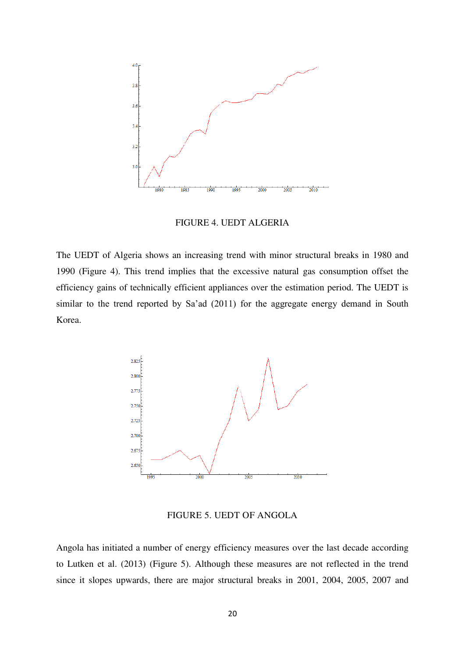

FIGURE 4. UEDT ALGERIA

The UEDT of Algeria shows an increasing trend with minor structural breaks in 1980 and 1990 (Figure 4). This trend implies that the excessive natural gas consumption offset the efficiency gains of technically efficient appliances over the estimation period. The UEDT is similar to the trend reported by Sa'ad (2011) for the aggregate energy demand in South Korea.



FIGURE 5. UEDT OF ANGOLA

Angola has initiated a number of energy efficiency measures over the last decade according to Lutken et al. (2013) (Figure 5). Although these measures are not reflected in the trend since it slopes upwards, there are major structural breaks in 2001, 2004, 2005, 2007 and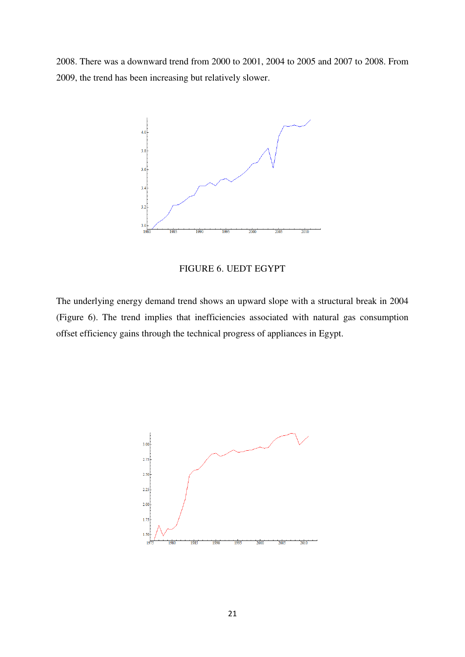2008. There was a downward trend from 2000 to 2001, 2004 to 2005 and 2007 to 2008. From 2009, the trend has been increasing but relatively slower.



FIGURE 6. UEDT EGYPT

The underlying energy demand trend shows an upward slope with a structural break in 2004 (Figure 6). The trend implies that inefficiencies associated with natural gas consumption offset efficiency gains through the technical progress of appliances in Egypt.

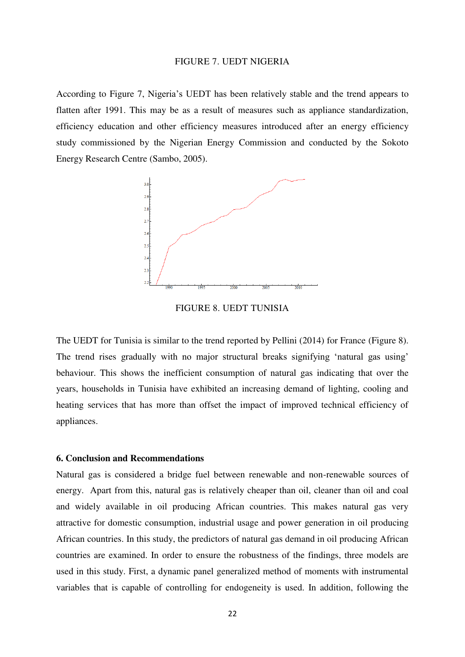#### FIGURE 7. UEDT NIGERIA

According to Figure 7, Nigeria's UEDT has been relatively stable and the trend appears to flatten after 1991. This may be as a result of measures such as appliance standardization, efficiency education and other efficiency measures introduced after an energy efficiency study commissioned by the Nigerian Energy Commission and conducted by the Sokoto Energy Research Centre (Sambo, 2005).



FIGURE 8. UEDT TUNISIA

The UEDT for Tunisia is similar to the trend reported by Pellini (2014) for France (Figure 8). The trend rises gradually with no major structural breaks signifying 'natural gas using' behaviour. This shows the inefficient consumption of natural gas indicating that over the years, households in Tunisia have exhibited an increasing demand of lighting, cooling and heating services that has more than offset the impact of improved technical efficiency of appliances.

#### **6. Conclusion and Recommendations**

Natural gas is considered a bridge fuel between renewable and non-renewable sources of energy. Apart from this, natural gas is relatively cheaper than oil, cleaner than oil and coal and widely available in oil producing African countries. This makes natural gas very attractive for domestic consumption, industrial usage and power generation in oil producing African countries. In this study, the predictors of natural gas demand in oil producing African countries are examined. In order to ensure the robustness of the findings, three models are used in this study. First, a dynamic panel generalized method of moments with instrumental variables that is capable of controlling for endogeneity is used. In addition, following the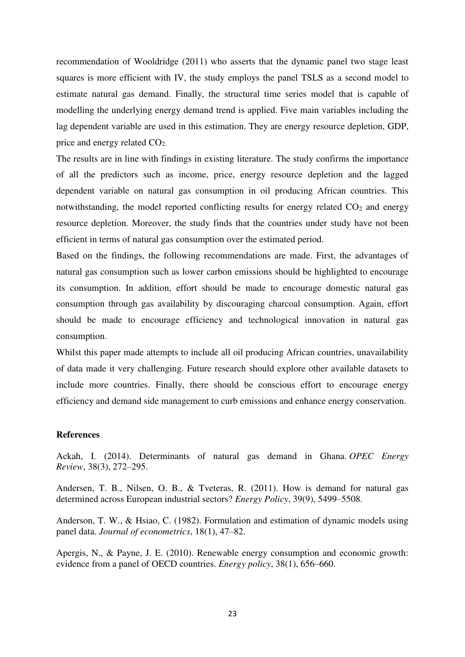recommendation of Wooldridge (2011) who asserts that the dynamic panel two stage least squares is more efficient with IV, the study employs the panel TSLS as a second model to estimate natural gas demand. Finally, the structural time series model that is capable of modelling the underlying energy demand trend is applied. Five main variables including the lag dependent variable are used in this estimation. They are energy resource depletion, GDP, price and energy related CO2.

The results are in line with findings in existing literature. The study confirms the importance of all the predictors such as income, price, energy resource depletion and the lagged dependent variable on natural gas consumption in oil producing African countries. This notwithstanding, the model reported conflicting results for energy related  $CO<sub>2</sub>$  and energy resource depletion. Moreover, the study finds that the countries under study have not been efficient in terms of natural gas consumption over the estimated period.

Based on the findings, the following recommendations are made. First, the advantages of natural gas consumption such as lower carbon emissions should be highlighted to encourage its consumption. In addition, effort should be made to encourage domestic natural gas consumption through gas availability by discouraging charcoal consumption. Again, effort should be made to encourage efficiency and technological innovation in natural gas consumption.

Whilst this paper made attempts to include all oil producing African countries, unavailability of data made it very challenging. Future research should explore other available datasets to include more countries. Finally, there should be conscious effort to encourage energy efficiency and demand side management to curb emissions and enhance energy conservation.

#### **References**

Ackah, I. (2014). Determinants of natural gas demand in Ghana. *OPEC Energy Review*, 38(3), 272–295.

Andersen, T. B., Nilsen, O. B., & Tveteras, R. (2011). How is demand for natural gas determined across European industrial sectors? *Energy Policy*, 39(9), 5499–5508.

Anderson, T. W., & Hsiao, C. (1982). Formulation and estimation of dynamic models using panel data. *Journal of econometrics*, 18(1), 47–82.

Apergis, N., & Payne, J. E. (2010). Renewable energy consumption and economic growth: evidence from a panel of OECD countries. *Energy policy*, 38(1), 656–660.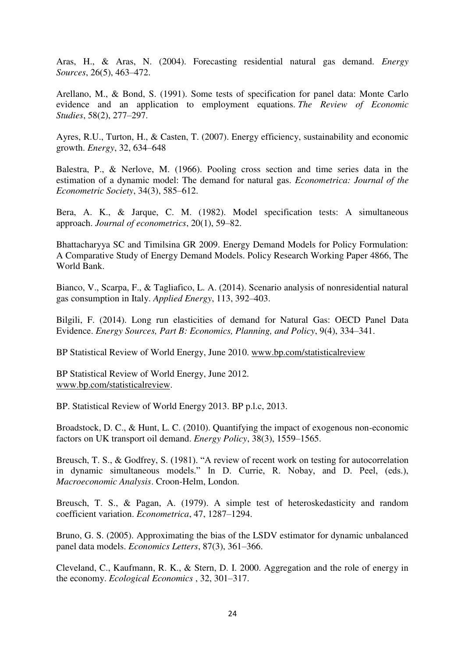Aras, H., & Aras, N. (2004). Forecasting residential natural gas demand. *Energy Sources*, 26(5), 463–472.

Arellano, M., & Bond, S. (1991). Some tests of specification for panel data: Monte Carlo evidence and an application to employment equations. *The Review of Economic Studies*, 58(2), 277–297.

Ayres, R.U., Turton, H., & Casten, T. (2007). Energy efficiency, sustainability and economic growth. *Energy*, 32, 634–648

Balestra, P., & Nerlove, M. (1966). Pooling cross section and time series data in the estimation of a dynamic model: The demand for natural gas. *Econometrica: Journal of the Econometric Society*, 34(3), 585–612.

Bera, A. K., & Jarque, C. M. (1982). Model specification tests: A simultaneous approach. *Journal of econometrics*, 20(1), 59–82.

Bhattacharyya SC and Timilsina GR 2009. Energy Demand Models for Policy Formulation: A Comparative Study of Energy Demand Models. Policy Research Working Paper 4866, The World Bank.

Bianco, V., Scarpa, F., & Tagliafico, L. A. (2014). Scenario analysis of nonresidential natural gas consumption in Italy. *Applied Energy*, 113, 392–403.

Bilgili, F. (2014). Long run elasticities of demand for Natural Gas: OECD Panel Data Evidence. *Energy Sources, Part B: Economics, Planning, and Policy*, 9(4), 334–341.

BP Statistical Review of World Energy, June 2010. [www.bp.com/statisticalreview](http://www.bp.com/statisticalreview) 

BP Statistical Review of World Energy, June 2012. [www.bp.com/statisticalreview.](http://www.bp.com/statisticalreview)

BP. Statistical Review of World Energy 2013. BP p.l.c, 2013.

Broadstock, D. C., & Hunt, L. C. (2010). Quantifying the impact of exogenous non-economic factors on UK transport oil demand. *Energy Policy*, 38(3), 1559–1565.

Breusch, T. S., & Godfrey, S. (1981). "A review of recent work on testing for autocorrelation in dynamic simultaneous models." In D. Currie, R. Nobay, and D. Peel, (eds.), *Macroeconomic Analysis*. Croon-Helm, London.

Breusch, T. S., & Pagan, A. (1979). A simple test of heteroskedasticity and random coefficient variation. *Econometrica*, 47, 1287–1294.

Bruno, G. S. (2005). Approximating the bias of the LSDV estimator for dynamic unbalanced panel data models. *Economics Letters*, 87(3), 361–366.

Cleveland, C., Kaufmann, R. K., & Stern, D. I. 2000. Aggregation and the role of energy in the economy. *Ecological Economics* , 32, 301–317.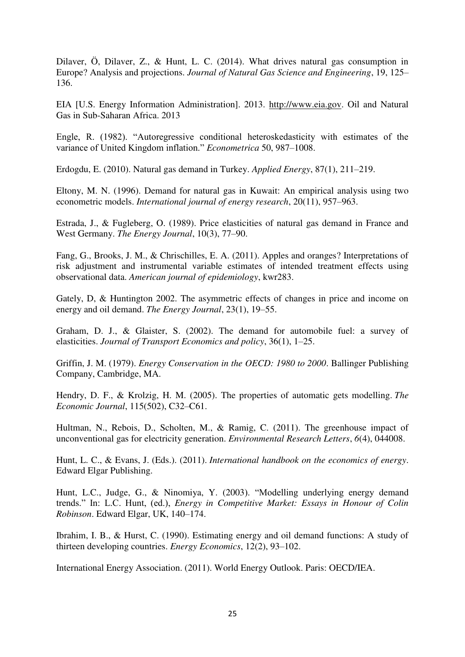Dilaver, Ö, Dilaver, Z., & Hunt, L. C. (2014). What drives natural gas consumption in Europe? Analysis and projections. *Journal of Natural Gas Science and Engineering*, 19, 125– 136.

EIA [U.S. Energy Information Administration]. 2013. [http://www.eia.gov.](http://www.eia.gov/) Oil and Natural Gas in Sub-Saharan Africa. 2013

Engle, R. (1982). "Autoregressive conditional heteroskedasticity with estimates of the variance of United Kingdom inflation." *Econometrica* 50, 987–1008.

Erdogdu, E. (2010). Natural gas demand in Turkey. *Applied Energy*, 87(1), 211–219.

Eltony, M. N. (1996). Demand for natural gas in Kuwait: An empirical analysis using two econometric models. *International journal of energy research*, 20(11), 957–963.

Estrada, J., & Fugleberg, O. (1989). Price elasticities of natural gas demand in France and West Germany. *The Energy Journal*, 10(3), 77–90.

Fang, G., Brooks, J. M., & Chrischilles, E. A. (2011). Apples and oranges? Interpretations of risk adjustment and instrumental variable estimates of intended treatment effects using observational data. *American journal of epidemiology*, kwr283.

Gately, D, & Huntington 2002. The asymmetric effects of changes in price and income on energy and oil demand. *The Energy Journal*, 23(1), 19–55.

Graham, D. J., & Glaister, S. (2002). The demand for automobile fuel: a survey of elasticities. *Journal of Transport Economics and policy*, 36(1), 1–25.

Griffin, J. M. (1979). *Energy Conservation in the OECD: 1980 to 2000*. Ballinger Publishing Company, Cambridge, MA.

Hendry, D. F., & Krolzig, H. M. (2005). The properties of automatic gets modelling. *The Economic Journal*, 115(502), C32–C61.

Hultman, N., Rebois, D., Scholten, M., & Ramig, C. (2011). The greenhouse impact of unconventional gas for electricity generation. *Environmental Research Letters*, *6*(4), 044008.

Hunt, L. C., & Evans, J. (Eds.). (2011). *International handbook on the economics of energy*. Edward Elgar Publishing.

Hunt, L.C., Judge, G., & Ninomiya, Y. (2003). "Modelling underlying energy demand trends." In: L.C. Hunt, (ed.), *Energy in Competitive Market: Essays in Honour of Colin Robinson*. Edward Elgar, UK, 140–174.

Ibrahim, I. B., & Hurst, C. (1990). Estimating energy and oil demand functions: A study of thirteen developing countries. *Energy Economics*, 12(2), 93–102.

International Energy Association. (2011). World Energy Outlook. Paris: OECD/IEA.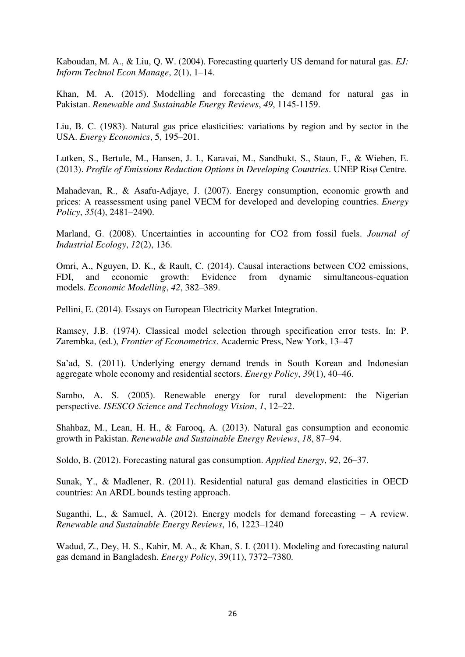Kaboudan, M. A., & Liu, Q. W. (2004). Forecasting quarterly US demand for natural gas. *EJ: Inform Technol Econ Manage*, *2*(1), 1–14.

Khan, M. A. (2015). Modelling and forecasting the demand for natural gas in Pakistan. *Renewable and Sustainable Energy Reviews*, *49*, 1145-1159.

Liu, B. C. (1983). Natural gas price elasticities: variations by region and by sector in the USA. *Energy Economics*, 5, 195–201.

Lutken, S., Bertule, M., Hansen, J. I., Karavai, M., Sandbukt, S., Staun, F., & Wieben, E. (2013). *Profile of Emissions Reduction Options in Developing Countries*. UNEP Risø Centre.

Mahadevan, R., & Asafu-Adjaye, J. (2007). Energy consumption, economic growth and prices: A reassessment using panel VECM for developed and developing countries. *Energy Policy*, *35*(4), 2481–2490.

Marland, G. (2008). Uncertainties in accounting for CO2 from fossil fuels. *Journal of Industrial Ecology*, *12*(2), 136.

Omri, A., Nguyen, D. K., & Rault, C. (2014). Causal interactions between CO2 emissions, FDI, and economic growth: Evidence from dynamic simultaneous-equation models. *Economic Modelling*, *42*, 382–389.

Pellini, E. (2014). Essays on European Electricity Market Integration.

Ramsey, J.B. (1974). Classical model selection through specification error tests. In: P. Zarembka, (ed.), *Frontier of Econometrics*. Academic Press, New York, 13–47

Sa'ad, S. (2011). Underlying energy demand trends in South Korean and Indonesian aggregate whole economy and residential sectors. *Energy Policy*, *39*(1), 40–46.

Sambo, A. S. (2005). Renewable energy for rural development: the Nigerian perspective. *ISESCO Science and Technology Vision*, *1*, 12–22.

Shahbaz, M., Lean, H. H., & Farooq, A. (2013). Natural gas consumption and economic growth in Pakistan. *Renewable and Sustainable Energy Reviews*, *18*, 87–94.

Soldo, B. (2012). Forecasting natural gas consumption. *Applied Energy*, *92*, 26–37.

Sunak, Y., & Madlener, R. (2011). Residential natural gas demand elasticities in OECD countries: An ARDL bounds testing approach.

Suganthi, L., & Samuel, A. (2012). Energy models for demand forecasting  $-$  A review. *Renewable and Sustainable Energy Reviews*, 16, 1223–1240

Wadud, Z., Dey, H. S., Kabir, M. A., & Khan, S. I. (2011). Modeling and forecasting natural gas demand in Bangladesh. *Energy Policy*, 39(11), 7372–7380.